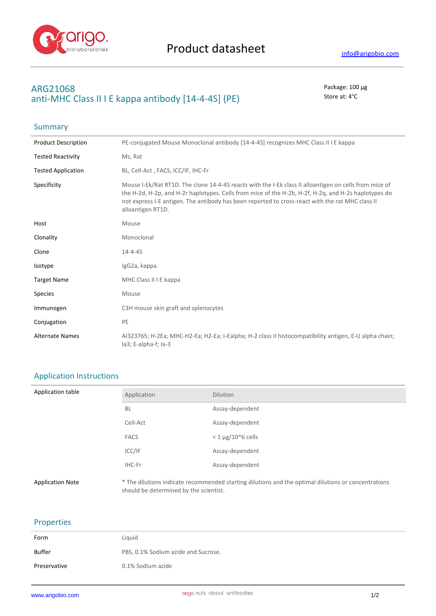

## **ARG21068** Package: 100 μg anti-MHC Class II I E kappa antibody [14-4-4S] (PE) Store at: 4°C

| Summary                    |                                                                                                                                                                                                                                                                                                                                         |
|----------------------------|-----------------------------------------------------------------------------------------------------------------------------------------------------------------------------------------------------------------------------------------------------------------------------------------------------------------------------------------|
| <b>Product Description</b> | PE-conjugated Mouse Monoclonal antibody [14-4-4S] recognizes MHC Class II I E kappa                                                                                                                                                                                                                                                     |
| <b>Tested Reactivity</b>   | Ms, Rat                                                                                                                                                                                                                                                                                                                                 |
| <b>Tested Application</b>  | BL, Cell-Act, FACS, ICC/IF, IHC-Fr                                                                                                                                                                                                                                                                                                      |
| Specificity                | Mouse I-Ek/Rat RT1D. The clone 14-4-4S reacts with the I-Ek class II alloantigen on cells from mice of<br>the H-2d, H-2p, and H-2r haplotypes. Cells from mice of the H-2b, H-2f, H-2q, and H-2s haplotypes do<br>not express I-E antigen. The antibody has been reported to cross-react with the rat MHC class II<br>alloantigen RT1D. |
| Host                       | Mouse                                                                                                                                                                                                                                                                                                                                   |
| Clonality                  | Monoclonal                                                                                                                                                                                                                                                                                                                              |
| Clone                      | $14 - 4 - 45$                                                                                                                                                                                                                                                                                                                           |
| Isotype                    | IgG2a, kappa                                                                                                                                                                                                                                                                                                                            |
| <b>Target Name</b>         | MHC Class II I E kappa                                                                                                                                                                                                                                                                                                                  |
| <b>Species</b>             | Mouse                                                                                                                                                                                                                                                                                                                                   |
| Immunogen                  | C3H mouse skin graft and splenocytes                                                                                                                                                                                                                                                                                                    |
| Conjugation                | PE                                                                                                                                                                                                                                                                                                                                      |
| <b>Alternate Names</b>     | AI323765; H-2Ea; MHC-H2-Ea; H2-Ea; I-Ealpha; H-2 class II histocompatibility antigen, E-U alpha chain;<br>la3; E-alpha-f; la-3                                                                                                                                                                                                          |

## Application Instructions

| Application table       | Application                            | <b>Dilution</b>                                                                                     |
|-------------------------|----------------------------------------|-----------------------------------------------------------------------------------------------------|
|                         | <b>BL</b>                              | Assay-dependent                                                                                     |
|                         | Cell-Act                               | Assay-dependent                                                                                     |
|                         | <b>FACS</b>                            | $<$ 1 µg/10^6 cells                                                                                 |
|                         | ICC/IF                                 | Assay-dependent                                                                                     |
|                         | IHC-Fr                                 | Assay-dependent                                                                                     |
| <b>Application Note</b> | should be determined by the scientist. | * The dilutions indicate recommended starting dilutions and the optimal dilutions or concentrations |

## Properties

| Form         | Liguid                              |
|--------------|-------------------------------------|
| Buffer       | PBS, 0.1% Sodium azide and Sucrose. |
| Preservative | 0.1% Sodium azide                   |